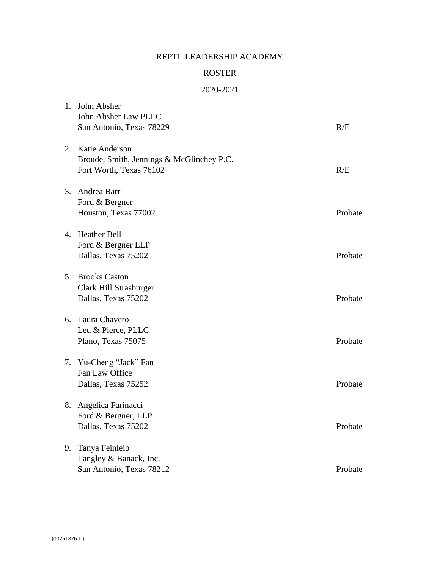## REPTL LEADERSHIP ACADEMY

## ROSTER

## 2020-2021

| 1. | John Absher                               |         |
|----|-------------------------------------------|---------|
|    | John Absher Law PLLC                      |         |
|    | San Antonio, Texas 78229                  | R/E     |
|    | 2. Katie Anderson                         |         |
|    | Broude, Smith, Jennings & McGlinchey P.C. |         |
|    | Fort Worth, Texas 76102                   | R/E     |
|    | 3. Andrea Barr                            |         |
|    | Ford & Bergner                            |         |
|    | Houston, Texas 77002                      | Probate |
|    | 4. Heather Bell                           |         |
|    | Ford & Bergner LLP                        |         |
|    | Dallas, Texas 75202                       | Probate |
|    | 5. Brooks Caston                          |         |
|    | Clark Hill Strasburger                    |         |
|    | Dallas, Texas 75202                       | Probate |
|    | 6. Laura Chavero                          |         |
|    | Leu & Pierce, PLLC                        |         |
|    | Plano, Texas 75075                        | Probate |
|    | 7. Yu-Cheng "Jack" Fan                    |         |
|    | Fan Law Office                            |         |
|    | Dallas, Texas 75252                       | Probate |
|    | 8. Angelica Farinacci                     |         |
|    | Ford & Bergner, LLP                       |         |
|    | Dallas, Texas 75202                       | Probate |
| 9. | Tanya Feinleib                            |         |
|    | Langley & Banack, Inc.                    |         |
|    | San Antonio, Texas 78212                  | Probate |